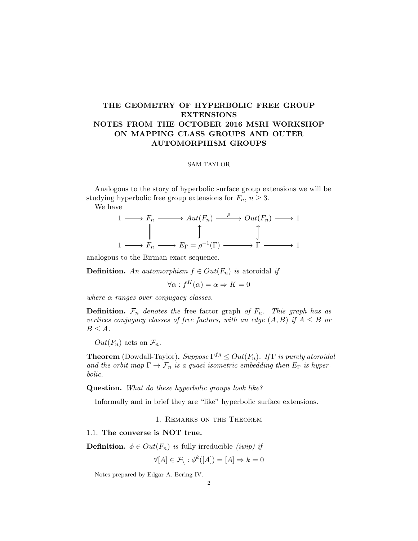# THE GEOMETRY OF HYPERBOLIC FREE GROUP EXTENSIONS NOTES FROM THE OCTOBER 2016 MSRI WORKSHOP ON MAPPING CLASS GROUPS AND OUTER AUTOMORPHISM GROUPS

#### SAM TAYLOR

Analogous to the story of hyperbolic surface group extensions we will be studying hyperbolic free group extensions for  $F_n$ ,  $n \geq 3$ .

We have

$$
\begin{array}{ccc}\n1 & \longrightarrow & F_n \longrightarrow Aut(F_n) \xrightarrow{\quad \rho} Out(F_n) \longrightarrow 1 \\
\parallel & \downarrow \qquad \qquad \uparrow \qquad \qquad \uparrow \qquad \qquad \uparrow \qquad \qquad \uparrow \qquad \qquad \uparrow \qquad \qquad \uparrow \qquad \qquad \uparrow \qquad \qquad \uparrow \qquad \qquad \uparrow \qquad \qquad \uparrow \qquad \qquad \uparrow \qquad \qquad \uparrow \qquad \qquad \uparrow \qquad \qquad \uparrow \qquad \qquad \uparrow \qquad \qquad \uparrow \qquad \qquad \uparrow \qquad \qquad \uparrow \qquad \qquad \uparrow \qquad \qquad \uparrow \qquad \qquad \uparrow \qquad \qquad \uparrow \qquad \qquad \uparrow \qquad \qquad \uparrow \qquad \qquad \uparrow \qquad \qquad \uparrow \qquad \qquad \uparrow \qquad \qquad \uparrow \qquad \qquad \uparrow \qquad \qquad \uparrow \qquad \qquad \uparrow \qquad \qquad \uparrow \qquad \qquad \uparrow \qquad \qquad \uparrow \qquad \qquad \uparrow \qquad \qquad \uparrow \qquad \qquad \uparrow \qquad \qquad \uparrow \qquad \qquad \uparrow \qquad \qquad \uparrow \qquad \qquad \uparrow \qquad \qquad \uparrow \qquad \qquad \uparrow \qquad \qquad \uparrow \qquad \qquad \uparrow \qquad \qquad \uparrow \qquad \qquad \uparrow \qquad \qquad \uparrow \qquad \qquad \uparrow \qquad \qquad \uparrow \qquad \qquad \uparrow \qquad \qquad \uparrow \qquad \qquad \uparrow \qquad \qquad \uparrow \qquad \uparrow \qquad \qquad \uparrow \qquad \uparrow \qquad \uparrow \qquad \qquad \uparrow \qquad \uparrow \qquad \qquad \uparrow \qquad \qquad \uparrow \qquad \qquad \uparrow \qquad \qquad \uparrow \qquad \qquad \uparrow \qquad \qquad \uparrow \qquad \qquad \uparrow \qquad \qquad \uparrow \qquad \qquad \uparrow \qquad \qquad \uparrow \qquad \qquad \uparrow \qquad \qquad \uparrow \qquad \qquad \uparrow \qquad \uparrow \qquad \uparrow \qquad \uparrow \qquad \uparrow \qquad \uparrow \qquad \uparrow \qquad \uparrow \qquad \uparrow \qquad \uparrow \qquad \uparrow \qquad \up
$$

analogous to the Birman exact sequence.

**Definition.** An automorphism  $f \in Out(F_n)$  is atoroidal if

 $\forall \alpha : f^K(\alpha) = \alpha \Rightarrow K = 0$ 

where  $\alpha$  ranges over conjugacy classes.

**Definition.**  $\mathcal{F}_n$  denotes the free factor graph of  $F_n$ . This graph has as vertices conjugacy classes of free factors, with an edge  $(A, B)$  if  $A \leq B$  or  $B \leq A$ .

 $Out(F_n)$  acts on  $\mathcal{F}_n$ .

**Theorem** (Dowdall-Taylor). Suppose  $\Gamma^{fg} \leq Out(F_n)$ . If  $\Gamma$  is purely atoroidal and the orbit map  $\Gamma \to \mathcal{F}_n$  is a quasi-isometric embedding then  $E_{\Gamma}$  is hyperbolic.

Question. What do these hyperbolic groups look like?

Informally and in brief they are "like" hyperbolic surface extensions.

1. Remarks on the Theorem

#### 1.1. The converse is NOT true.

**Definition.**  $\phi \in Out(F_n)$  is fully irreducible *(iwip)* if

$$
\forall [A] \in \mathcal{F}_{\setminus} : \phi^k([A]) = [A] \Rightarrow k = 0
$$

Notes prepared by Edgar A. Bering IV.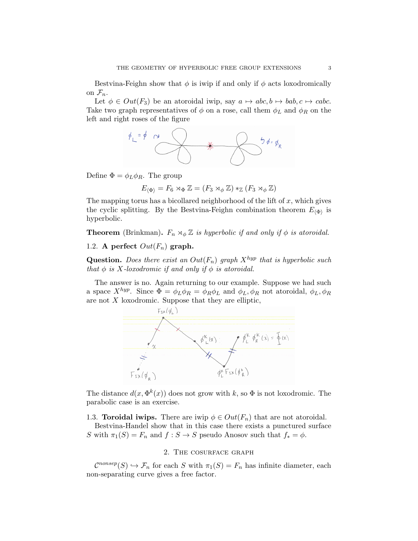Bestvina-Feighn show that  $\phi$  is iwip if and only if  $\phi$  acts loxodromically on  $\mathcal{F}_n$ .

Let  $\phi \in Out(F_3)$  be an atoroidal iwip, say  $a \mapsto abc, b \mapsto bab, c \mapsto cabc$ . Take two graph representatives of  $\phi$  on a rose, call them  $\phi_L$  and  $\phi_R$  on the left and right roses of the figure



Define  $\Phi = \phi_L \phi_R$ . The group

$$
E_{\langle \Phi \rangle} = F_6 \rtimes_{\Phi} \mathbb{Z} = (F_3 \rtimes_{\phi} \mathbb{Z}) *_{\mathbb{Z}} (F_3 \rtimes_{\phi} \mathbb{Z})
$$

The mapping torus has a bicollared neighborhood of the lift of  $x$ , which gives the cyclic splitting. By the Bestvina-Feighn combination theorem  $E_{\langle \Phi \rangle}$  is hyperbolic.

**Theorem** (Brinkman).  $F_n \rtimes_{\phi} \mathbb{Z}$  is hyperbolic if and only if  $\phi$  is atoroidal.

### 1.2. A perfect  $Out(F_n)$  graph.

**Question.** Does there exist an  $Out(F_n)$  graph  $X^{hyp}$  that is hyperbolic such that  $\phi$  is X-loxodromic if and only if  $\phi$  is atoroidal.

The answer is no. Again returning to our example. Suppose we had such a space  $X^{hyp}$ . Since  $\overline{\Phi} = \phi_L \phi_R = \phi_R \phi_L$  and  $\phi_L, \phi_R$  not atoroidal,  $\phi_L, \phi_R$ are not  $X$  loxodromic. Suppose that they are elliptic,



The distance  $d(x, \Phi^k(x))$  does not grow with k, so  $\Phi$  is not loxodromic. The parabolic case is an exercise.

1.3. **Toroidal iwips.** There are iwip  $\phi \in Out(F_n)$  that are not atoroidal.

Bestvina-Handel show that in this case there exists a punctured surface S with  $\pi_1(S) = F_n$  and  $f : S \to S$  pseudo Anosov such that  $f_* = \phi$ .

## 2. The cosurface graph

 $\mathcal{C}^{nonsep}(S) \hookrightarrow \mathcal{F}_n$  for each S with  $\pi_1(S) = F_n$  has infinite diameter, each non-separating curve gives a free factor.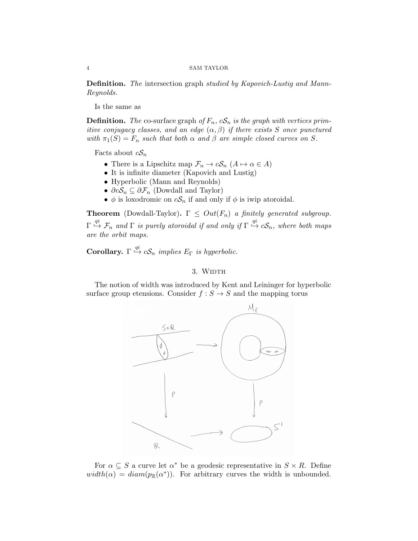#### 4 SAM TAYLOR

Definition. The intersection graph studied by Kapovich-Lustig and Mann-Reynolds.

Is the same as

**Definition.** The co-surface graph of  $F_n$ ,  $cS_n$  is the graph with vertices primitive conjugacy classes, and an edge  $(\alpha, \beta)$  if there exists S once punctured with  $\pi_1(S) = F_n$  such that both  $\alpha$  and  $\beta$  are simple closed curves on S.

Facts about  $cS_n$ 

- There is a Lipschitz map  $\mathcal{F}_n \to c\mathcal{S}_n$   $(A \mapsto \alpha \in A)$
- It is infinite diameter (Kapovich and Lustig)
- Hyperbolic (Mann and Reynolds)
- $\partial cS_n \subseteq \partial \mathcal{F}_n$  (Dowdall and Taylor)
- $\phi$  is loxodromic on  $cS_n$  if and only if  $\phi$  is iwip atoroidal.

**Theorem** (Dowdall-Taylor).  $\Gamma \leq Out(F_n)$  a finitely generated subgroup.  $\Gamma\stackrel{qi}{\hookrightarrow}\mathcal{F}_n$  and  $\Gamma$  is purely atoroidal if and only if  $\Gamma\stackrel{qi}{\hookrightarrow}c\mathcal{S}_n$ , where both maps are the orbit maps.

**Corollary.**  $\Gamma \stackrel{qi}{\hookrightarrow} cS_n$  implies  $E_{\Gamma}$  is hyperbolic.

### 3. WIDTH

The notion of width was introduced by Kent and Leininger for hyperbolic surface group etensions. Consider  $f : S \to S$  and the mapping torus



For  $\alpha \subseteq S$  a curve let  $\alpha^*$  be a geodesic representative in  $S \times R$ . Define  $width(\alpha) = diam(p_{\mathbb{R}}(\alpha^*))$ . For arbitrary curves the width is unbounded.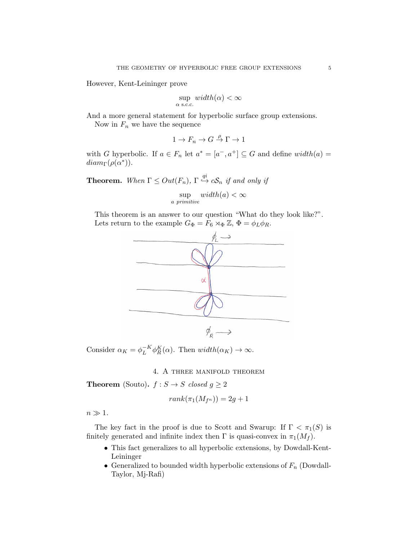However, Kent-Leininger prove

$$
\sup_{\alpha \text{ s.c.c.}} width(\alpha) < \infty
$$

And a more general statement for hyperbolic surface group extensions.

Now in  $F_n$  we have the sequence

$$
1 \to F_n \to G \stackrel{\rho}{\to} \Gamma \to 1
$$

with G hyperbolic. If  $a \in F_n$  let  $a^* = [a^-, a^+] \subseteq G$  and define  $width(a) =$  $diam_{\Gamma}(\rho(\alpha^*))$ .

**Theorem.** When  $\Gamma \leq Out(F_n)$ ,  $\Gamma \stackrel{qi}{\hookrightarrow} c\mathcal{S}_n$  if and only if

$$
\sup_{a\ primitive} width(a) < \infty
$$

This theorem is an answer to our question "What do they look like?". Lets return to the example  $G_{\Phi} = F_6 \rtimes_{\Phi} \mathbb{Z}, \Phi = \phi_L \phi_R$ .



Consider  $\alpha_K = \phi_L^{-K}$  $L^{K} \phi_R^K(\alpha)$ . Then  $width(\alpha_K) \rightarrow \infty$ .

4. A three manifold theorem

**Theorem** (Souto).  $f : S \rightarrow S$  closed  $g \geq 2$ 

$$
rank(\pi_1(M_{f^n})) = 2g + 1
$$

 $n \gg 1$ .

The key fact in the proof is due to Scott and Swarup: If  $\Gamma < \pi_1(S)$  is finitely generated and infinite index then  $\Gamma$  is quasi-convex in  $\pi_1(M_f)$ .

- This fact generalizes to all hyperbolic extensions, by Dowdall-Kent-Leininger
- Generalized to bounded width hyperbolic extensions of  $F_n$  (Dowdall-Taylor, Mj-Rafi)